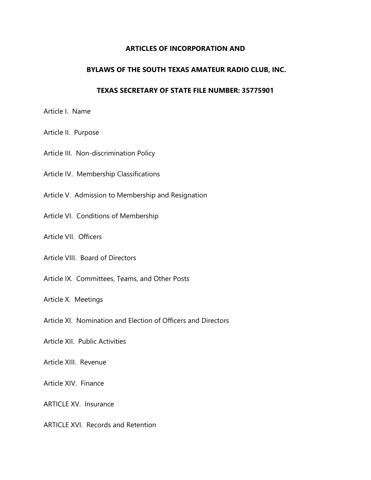#### **ARTICLES OF INCORPORATION AND**

#### **BYLAWS OF THE SOUTH TEXAS AMATEUR RADIO CLUB, INC.**

#### **TEXAS SECRETARY OF STATE FILE NUMBER: 35775901**

Article I. Name

Article II. Purpose

Article III. Non-discrimination Policy

Article IV. Membership Classifications

Article V. Admission to Membership and Resignation

Article VI. Conditions of Membership

Article VII. Officers

Article VIII. Board of Directors

Article IX. Committees, Teams, and Other Posts

Article X. Meetings

Article XI. Nomination and Election of Officers and Directors

Article XII. Public Activities

Article XIII. Revenue

Article XIV. Finance

ARTICLE XV. Insurance

ARTICLE XVI. Records and Retention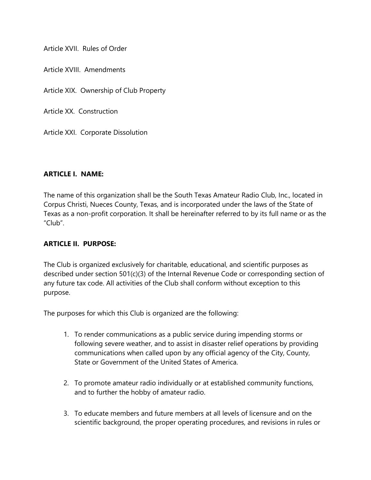Article XVII. Rules of Order

Article XVIII. Amendments

Article XIX. Ownership of Club Property

Article XX. Construction

Article XXI. Corporate Dissolution

#### **ARTICLE I. NAME:**

The name of this organization shall be the South Texas Amateur Radio Club, Inc., located in Corpus Christi, Nueces County, Texas, and is incorporated under the laws of the State of Texas as a non-profit corporation. It shall be hereinafter referred to by its full name or as the "Club".

#### **ARTICLE II. PURPOSE:**

The Club is organized exclusively for charitable, educational, and scientific purposes as described under section 501(c)(3) of the Internal Revenue Code or corresponding section of any future tax code. All activities of the Club shall conform without exception to this purpose.

The purposes for which this Club is organized are the following:

- 1. To render communications as a public service during impending storms or following severe weather, and to assist in disaster relief operations by providing communications when called upon by any official agency of the City, County, State or Government of the United States of America.
- 2. To promote amateur radio individually or at established community functions, and to further the hobby of amateur radio.
- 3. To educate members and future members at all levels of licensure and on the scientific background, the proper operating procedures, and revisions in rules or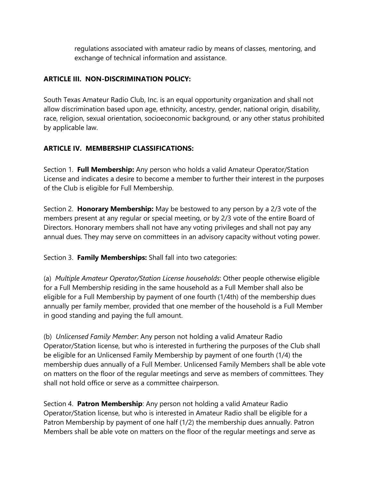regulations associated with amateur radio by means of classes, mentoring, and exchange of technical information and assistance.

#### **ARTICLE III. NON-DISCRIMINATION POLICY:**

South Texas Amateur Radio Club, Inc. is an equal opportunity organization and shall not allow discrimination based upon age, ethnicity, ancestry, gender, national origin, disability, race, religion, sexual orientation, socioeconomic background, or any other status prohibited by applicable law.

## **ARTICLE IV. MEMBERSHIP CLASSIFICATIONS:**

Section 1. **Full Membership:** Any person who holds a valid Amateur Operator/Station License and indicates a desire to become a member to further their interest in the purposes of the Club is eligible for Full Membership.

Section 2. **Honorary Membership:** May be bestowed to any person by a 2/3 vote of the members present at any regular or special meeting, or by 2/3 vote of the entire Board of Directors. Honorary members shall not have any voting privileges and shall not pay any annual dues. They may serve on committees in an advisory capacity without voting power.

Section 3. **Family Memberships:** Shall fall into two categories:

(a) *Multiple Amateur Operator/Station License households*: Other people otherwise eligible for a Full Membership residing in the same household as a Full Member shall also be eligible for a Full Membership by payment of one fourth (1/4th) of the membership dues annually per family member, provided that one member of the household is a Full Member in good standing and paying the full amount.

(b) *Unlicensed Family Member*: Any person not holding a valid Amateur Radio Operator/Station license, but who is interested in furthering the purposes of the Club shall be eligible for an Unlicensed Family Membership by payment of one fourth (1/4) the membership dues annually of a Full Member. Unlicensed Family Members shall be able vote on matters on the floor of the regular meetings and serve as members of committees. They shall not hold office or serve as a committee chairperson.

Section 4. **Patron Membership**: Any person not holding a valid Amateur Radio Operator/Station license, but who is interested in Amateur Radio shall be eligible for a Patron Membership by payment of one half (1/2) the membership dues annually. Patron Members shall be able vote on matters on the floor of the regular meetings and serve as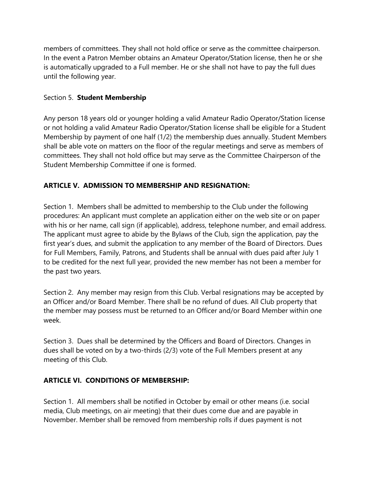members of committees. They shall not hold office or serve as the committee chairperson. In the event a Patron Member obtains an Amateur Operator/Station license, then he or she is automatically upgraded to a Full member. He or she shall not have to pay the full dues until the following year.

## Section 5. **Student Membership**

Any person 18 years old or younger holding a valid Amateur Radio Operator/Station license or not holding a valid Amateur Radio Operator/Station license shall be eligible for a Student Membership by payment of one half (1/2) the membership dues annually. Student Members shall be able vote on matters on the floor of the regular meetings and serve as members of committees. They shall not hold office but may serve as the Committee Chairperson of the Student Membership Committee if one is formed.

## **ARTICLE V. ADMISSION TO MEMBERSHIP AND RESIGNATION:**

Section 1. Members shall be admitted to membership to the Club under the following procedures: An applicant must complete an application either on the web site or on paper with his or her name, call sign (if applicable), address, telephone number, and email address. The applicant must agree to abide by the Bylaws of the Club, sign the application, pay the first year's dues, and submit the application to any member of the Board of Directors. Dues for Full Members, Family, Patrons, and Students shall be annual with dues paid after July 1 to be credited for the next full year, provided the new member has not been a member for the past two years.

Section 2. Any member may resign from this Club. Verbal resignations may be accepted by an Officer and/or Board Member. There shall be no refund of dues. All Club property that the member may possess must be returned to an Officer and/or Board Member within one week.

Section 3. Dues shall be determined by the Officers and Board of Directors. Changes in dues shall be voted on by a two-thirds (2/3) vote of the Full Members present at any meeting of this Club.

## **ARTICLE VI. CONDITIONS OF MEMBERSHIP:**

Section 1. All members shall be notified in October by email or other means (i.e. social media, Club meetings, on air meeting) that their dues come due and are payable in November. Member shall be removed from membership rolls if dues payment is not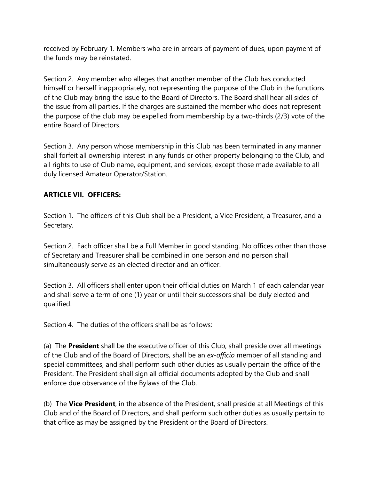received by February 1. Members who are in arrears of payment of dues, upon payment of the funds may be reinstated.

Section 2. Any member who alleges that another member of the Club has conducted himself or herself inappropriately, not representing the purpose of the Club in the functions of the Club may bring the issue to the Board of Directors. The Board shall hear all sides of the issue from all parties. If the charges are sustained the member who does not represent the purpose of the club may be expelled from membership by a two-thirds (2/3) vote of the entire Board of Directors.

Section 3. Any person whose membership in this Club has been terminated in any manner shall forfeit all ownership interest in any funds or other property belonging to the Club, and all rights to use of Club name, equipment, and services, except those made available to all duly licensed Amateur Operator/Station.

## **ARTICLE VII. OFFICERS:**

Section 1. The officers of this Club shall be a President, a Vice President, a Treasurer, and a Secretary.

Section 2. Each officer shall be a Full Member in good standing. No offices other than those of Secretary and Treasurer shall be combined in one person and no person shall simultaneously serve as an elected director and an officer.

Section 3. All officers shall enter upon their official duties on March 1 of each calendar year and shall serve a term of one (1) year or until their successors shall be duly elected and qualified.

Section 4. The duties of the officers shall be as follows:

(a) The **President** shall be the executive officer of this Club, shall preside over all meetings of the Club and of the Board of Directors, shall be an *ex-officio* member of all standing and special committees, and shall perform such other duties as usually pertain the office of the President. The President shall sign all official documents adopted by the Club and shall enforce due observance of the Bylaws of the Club.

(b) The **Vice President**, in the absence of the President, shall preside at all Meetings of this Club and of the Board of Directors, and shall perform such other duties as usually pertain to that office as may be assigned by the President or the Board of Directors.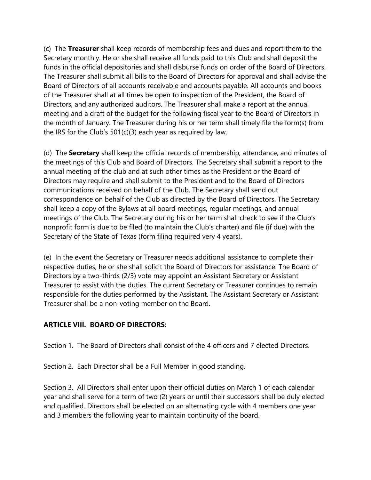(c) The **Treasurer** shall keep records of membership fees and dues and report them to the Secretary monthly. He or she shall receive all funds paid to this Club and shall deposit the funds in the official depositories and shall disburse funds on order of the Board of Directors. The Treasurer shall submit all bills to the Board of Directors for approval and shall advise the Board of Directors of all accounts receivable and accounts payable. All accounts and books of the Treasurer shall at all times be open to inspection of the President, the Board of Directors, and any authorized auditors. The Treasurer shall make a report at the annual meeting and a draft of the budget for the following fiscal year to the Board of Directors in the month of January. The Treasurer during his or her term shall timely file the form(s) from the IRS for the Club's 501(c)(3) each year as required by law.

(d) The **Secretary** shall keep the official records of membership, attendance, and minutes of the meetings of this Club and Board of Directors. The Secretary shall submit a report to the annual meeting of the club and at such other times as the President or the Board of Directors may require and shall submit to the President and to the Board of Directors communications received on behalf of the Club. The Secretary shall send out correspondence on behalf of the Club as directed by the Board of Directors. The Secretary shall keep a copy of the Bylaws at all board meetings, regular meetings, and annual meetings of the Club. The Secretary during his or her term shall check to see if the Club's nonprofit form is due to be filed (to maintain the Club's charter) and file (if due) with the Secretary of the State of Texas (form filing required very 4 years).

(e) In the event the Secretary or Treasurer needs additional assistance to complete their respective duties, he or she shall solicit the Board of Directors for assistance. The Board of Directors by a two-thirds (2/3) vote may appoint an Assistant Secretary or Assistant Treasurer to assist with the duties. The current Secretary or Treasurer continues to remain responsible for the duties performed by the Assistant. The Assistant Secretary or Assistant Treasurer shall be a non-voting member on the Board.

## **ARTICLE VIII. BOARD OF DIRECTORS:**

Section 1. The Board of Directors shall consist of the 4 officers and 7 elected Directors.

Section 2. Each Director shall be a Full Member in good standing.

Section 3. All Directors shall enter upon their official duties on March 1 of each calendar year and shall serve for a term of two (2) years or until their successors shall be duly elected and qualified. Directors shall be elected on an alternating cycle with 4 members one year and 3 members the following year to maintain continuity of the board.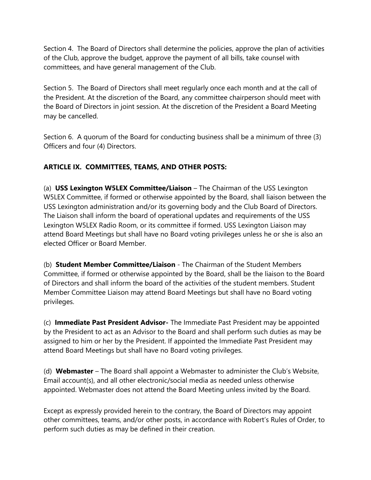Section 4. The Board of Directors shall determine the policies, approve the plan of activities of the Club, approve the budget, approve the payment of all bills, take counsel with committees, and have general management of the Club.

Section 5. The Board of Directors shall meet regularly once each month and at the call of the President. At the discretion of the Board, any committee chairperson should meet with the Board of Directors in joint session. At the discretion of the President a Board Meeting may be cancelled.

Section 6. A quorum of the Board for conducting business shall be a minimum of three (3) Officers and four (4) Directors.

# **ARTICLE IX. COMMITTEES, TEAMS, AND OTHER POSTS:**

(a) **USS Lexington W5LEX Committee/Liaison** – The Chairman of the USS Lexington W5LEX Committee, if formed or otherwise appointed by the Board, shall liaison between the USS Lexington administration and/or its governing body and the Club Board of Directors. The Liaison shall inform the board of operational updates and requirements of the USS Lexington W5LEX Radio Room, or its committee if formed. USS Lexington Liaison may attend Board Meetings but shall have no Board voting privileges unless he or she is also an elected Officer or Board Member.

(b) **Student Member Committee/Liaison** - The Chairman of the Student Members Committee, if formed or otherwise appointed by the Board, shall be the liaison to the Board of Directors and shall inform the board of the activities of the student members. Student Member Committee Liaison may attend Board Meetings but shall have no Board voting privileges.

(c) **Immediate Past President Advisor-** The Immediate Past President may be appointed by the President to act as an Advisor to the Board and shall perform such duties as may be assigned to him or her by the President. If appointed the Immediate Past President may attend Board Meetings but shall have no Board voting privileges.

(d) **Webmaster** – The Board shall appoint a Webmaster to administer the Club's Website, Email account(s), and all other electronic/social media as needed unless otherwise appointed. Webmaster does not attend the Board Meeting unless invited by the Board.

Except as expressly provided herein to the contrary, the Board of Directors may appoint other committees, teams, and/or other posts, in accordance with Robert's Rules of Order, to perform such duties as may be defined in their creation.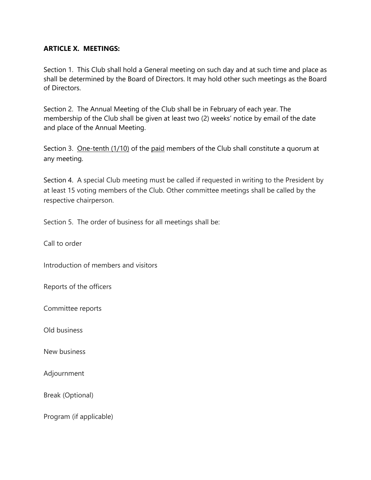#### **ARTICLE X. MEETINGS:**

Section 1. This Club shall hold a General meeting on such day and at such time and place as shall be determined by the Board of Directors. It may hold other such meetings as the Board of Directors.

Section 2. The Annual Meeting of the Club shall be in February of each year. The membership of the Club shall be given at least two (2) weeks' notice by email of the date and place of the Annual Meeting.

Section 3. One-tenth (1/10) of the paid members of the Club shall constitute a quorum at any meeting.

Section 4. A special Club meeting must be called if requested in writing to the President by at least 15 voting members of the Club. Other committee meetings shall be called by the respective chairperson.

Section 5. The order of business for all meetings shall be:

Call to order

Introduction of members and visitors

Reports of the officers

Committee reports

Old business

New business

Adjournment

Break (Optional)

Program (if applicable)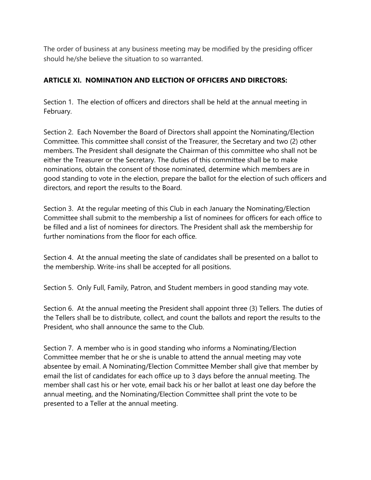The order of business at any business meeting may be modified by the presiding officer should he/she believe the situation to so warranted.

## **ARTICLE XI. NOMINATION AND ELECTION OF OFFICERS AND DIRECTORS:**

Section 1. The election of officers and directors shall be held at the annual meeting in February.

Section 2. Each November the Board of Directors shall appoint the Nominating/Election Committee. This committee shall consist of the Treasurer, the Secretary and two (2) other members. The President shall designate the Chairman of this committee who shall not be either the Treasurer or the Secretary. The duties of this committee shall be to make nominations, obtain the consent of those nominated, determine which members are in good standing to vote in the election, prepare the ballot for the election of such officers and directors, and report the results to the Board.

Section 3. At the regular meeting of this Club in each January the Nominating/Election Committee shall submit to the membership a list of nominees for officers for each office to be filled and a list of nominees for directors. The President shall ask the membership for further nominations from the floor for each office.

Section 4. At the annual meeting the slate of candidates shall be presented on a ballot to the membership. Write-ins shall be accepted for all positions.

Section 5. Only Full, Family, Patron, and Student members in good standing may vote.

Section 6. At the annual meeting the President shall appoint three (3) Tellers. The duties of the Tellers shall be to distribute, collect, and count the ballots and report the results to the President, who shall announce the same to the Club.

Section 7. A member who is in good standing who informs a Nominating/Election Committee member that he or she is unable to attend the annual meeting may vote absentee by email. A Nominating/Election Committee Member shall give that member by email the list of candidates for each office up to 3 days before the annual meeting. The member shall cast his or her vote, email back his or her ballot at least one day before the annual meeting, and the Nominating/Election Committee shall print the vote to be presented to a Teller at the annual meeting.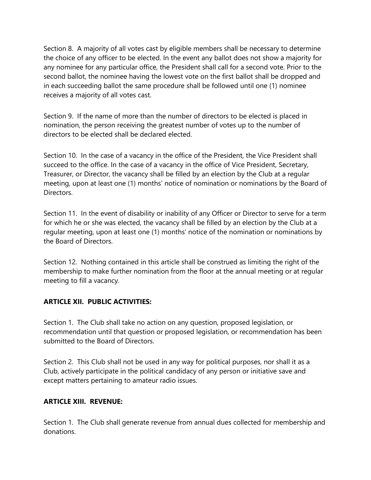Section 8. A majority of all votes cast by eligible members shall be necessary to determine the choice of any officer to be elected. In the event any ballot does not show a majority for any nominee for any particular office, the President shall call for a second vote. Prior to the second ballot, the nominee having the lowest vote on the first ballot shall be dropped and in each succeeding ballot the same procedure shall be followed until one (1) nominee receives a majority of all votes cast.

Section 9. If the name of more than the number of directors to be elected is placed in nomination, the person receiving the greatest number of votes up to the number of directors to be elected shall be declared elected.

Section 10. In the case of a vacancy in the office of the President, the Vice President shall succeed to the office. In the case of a vacancy in the office of Vice President, Secretary, Treasurer, or Director, the vacancy shall be filled by an election by the Club at a regular meeting, upon at least one (1) months' notice of nomination or nominations by the Board of Directors.

Section 11. In the event of disability or inability of any Officer or Director to serve for a term for which he or she was elected, the vacancy shall be filled by an election by the Club at a regular meeting, upon at least one (1) months' notice of the nomination or nominations by the Board of Directors.

Section 12. Nothing contained in this article shall be construed as limiting the right of the membership to make further nomination from the floor at the annual meeting or at regular meeting to fill a vacancy.

## **ARTICLE XII. PUBLIC ACTIVITIES:**

Section 1. The Club shall take no action on any question, proposed legislation, or recommendation until that question or proposed legislation, or recommendation has been submitted to the Board of Directors.

Section 2. This Club shall not be used in any way for political purposes, nor shall it as a Club, actively participate in the political candidacy of any person or initiative save and except matters pertaining to amateur radio issues.

## **ARTICLE XIII. REVENUE:**

Section 1. The Club shall generate revenue from annual dues collected for membership and donations.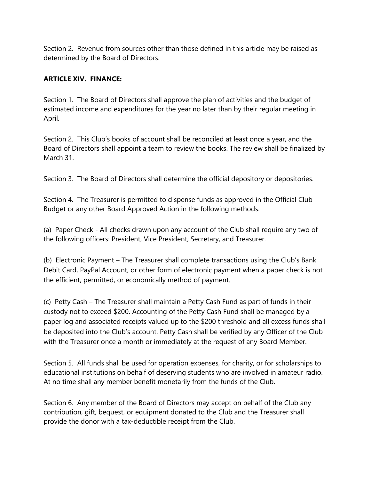Section 2. Revenue from sources other than those defined in this article may be raised as determined by the Board of Directors.

## **ARTICLE XIV. FINANCE:**

Section 1. The Board of Directors shall approve the plan of activities and the budget of estimated income and expenditures for the year no later than by their regular meeting in April.

Section 2. This Club's books of account shall be reconciled at least once a year, and the Board of Directors shall appoint a team to review the books. The review shall be finalized by March 31.

Section 3. The Board of Directors shall determine the official depository or depositories.

Section 4. The Treasurer is permitted to dispense funds as approved in the Official Club Budget or any other Board Approved Action in the following methods:

(a) Paper Check - All checks drawn upon any account of the Club shall require any two of the following officers: President, Vice President, Secretary, and Treasurer.

(b) Electronic Payment – The Treasurer shall complete transactions using the Club's Bank Debit Card, PayPal Account, or other form of electronic payment when a paper check is not the efficient, permitted, or economically method of payment.

(c) Petty Cash – The Treasurer shall maintain a Petty Cash Fund as part of funds in their custody not to exceed \$200. Accounting of the Petty Cash Fund shall be managed by a paper log and associated receipts valued up to the \$200 threshold and all excess funds shall be deposited into the Club's account. Petty Cash shall be verified by any Officer of the Club with the Treasurer once a month or immediately at the request of any Board Member.

Section 5. All funds shall be used for operation expenses, for charity, or for scholarships to educational institutions on behalf of deserving students who are involved in amateur radio. At no time shall any member benefit monetarily from the funds of the Club.

Section 6. Any member of the Board of Directors may accept on behalf of the Club any contribution, gift, bequest, or equipment donated to the Club and the Treasurer shall provide the donor with a tax-deductible receipt from the Club.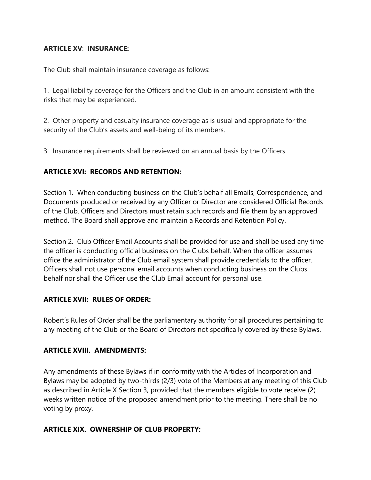#### **ARTICLE XV**: **INSURANCE:**

The Club shall maintain insurance coverage as follows:

1. Legal liability coverage for the Officers and the Club in an amount consistent with the risks that may be experienced.

2. Other property and casualty insurance coverage as is usual and appropriate for the security of the Club's assets and well-being of its members.

3. Insurance requirements shall be reviewed on an annual basis by the Officers.

## **ARTICLE XVI: RECORDS AND RETENTION:**

Section 1. When conducting business on the Club's behalf all Emails, Correspondence, and Documents produced or received by any Officer or Director are considered Official Records of the Club. Officers and Directors must retain such records and file them by an approved method. The Board shall approve and maintain a Records and Retention Policy.

Section 2. Club Officer Email Accounts shall be provided for use and shall be used any time the officer is conducting official business on the Clubs behalf. When the officer assumes office the administrator of the Club email system shall provide credentials to the officer. Officers shall not use personal email accounts when conducting business on the Clubs behalf nor shall the Officer use the Club Email account for personal use.

## **ARTICLE XVII: RULES OF ORDER:**

Robert's Rules of Order shall be the parliamentary authority for all procedures pertaining to any meeting of the Club or the Board of Directors not specifically covered by these Bylaws.

#### **ARTICLE XVIII. AMENDMENTS:**

Any amendments of these Bylaws if in conformity with the Articles of Incorporation and Bylaws may be adopted by two-thirds (2/3) vote of the Members at any meeting of this Club as described in Article X Section 3, provided that the members eligible to vote receive (2) weeks written notice of the proposed amendment prior to the meeting. There shall be no voting by proxy.

## **ARTICLE XIX. OWNERSHIP OF CLUB PROPERTY:**